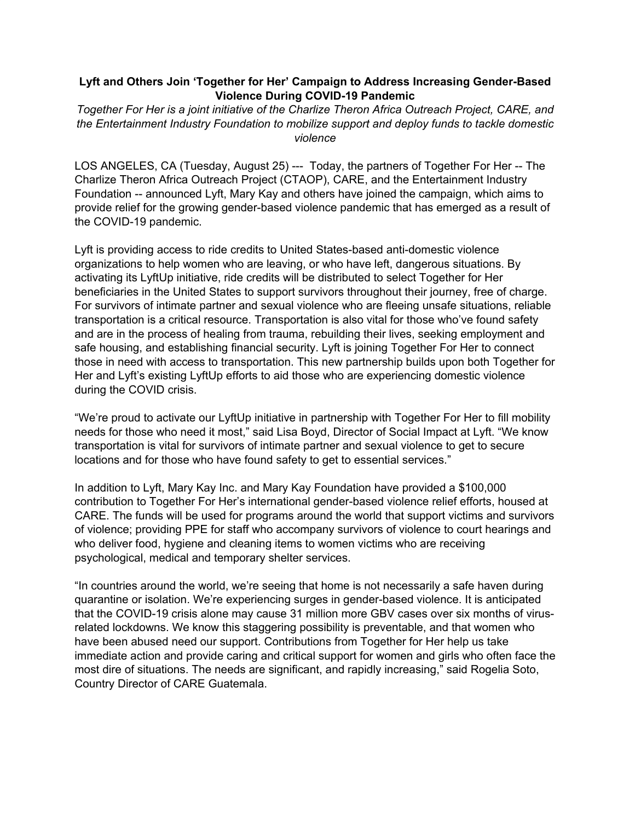### **Lyft and Others Join 'Together for Her' Campaign to Address Increasing Gender-Based Violence During COVID-19 Pandemic**

*Together For Her is a joint initiative of the Charlize Theron Africa Outreach Project, CARE, and the Entertainment Industry Foundation to mobilize support and deploy funds to tackle domestic violence* 

LOS ANGELES, CA (Tuesday, August 25) --- Today, the partners of Together For Her -- The Charlize Theron Africa Outreach Project (CTAOP), CARE, and the Entertainment Industry Foundation -- announced Lyft, Mary Kay and others have joined the campaign, which aims to provide relief for the growing gender-based violence pandemic that has emerged as a result of the COVID-19 pandemic.

Lyft is providing access to ride credits to United States-based anti-domestic violence organizations to help women who are leaving, or who have left, dangerous situations. By activating its LyftUp initiative, ride credits will be distributed to select Together for Her beneficiaries in the United States to support survivors throughout their journey, free of charge. For survivors of intimate partner and sexual violence who are fleeing unsafe situations, reliable transportation is a critical resource. Transportation is also vital for those who've found safety and are in the process of healing from trauma, rebuilding their lives, seeking employment and safe housing, and establishing financial security. Lyft is joining Together For Her to connect those in need with access to transportation. This new partnership builds upon both Together for Her and Lyft's existing LyftUp efforts to aid those who are experiencing domestic violence during the COVID crisis.

"We're proud to activate our LyftUp initiative in partnership with Together For Her to fill mobility needs for those who need it most," said Lisa Boyd, Director of Social Impact at Lyft. "We know transportation is vital for survivors of intimate partner and sexual violence to get to secure locations and for those who have found safety to get to essential services."

In addition to Lyft, Mary Kay Inc. and Mary Kay Foundation have provided a \$100,000 contribution to Together For Her's international gender-based violence relief efforts, housed at CARE. The funds will be used for programs around the world that support victims and survivors of violence; providing PPE for staff who accompany survivors of violence to court hearings and who deliver food, hygiene and cleaning items to women victims who are receiving psychological, medical and temporary shelter services.

"In countries around the world, we're seeing that home is not necessarily a safe haven during quarantine or isolation. We're experiencing surges in gender-based violence. It is anticipated that the COVID-19 crisis alone may cause 31 million more GBV cases over six months of virusrelated lockdowns. We know this staggering possibility is preventable, and that women who have been abused need our support. Contributions from Together for Her help us take immediate action and provide caring and critical support for women and girls who often face the most dire of situations. The needs are significant, and rapidly increasing," said Rogelia Soto, Country Director of CARE Guatemala.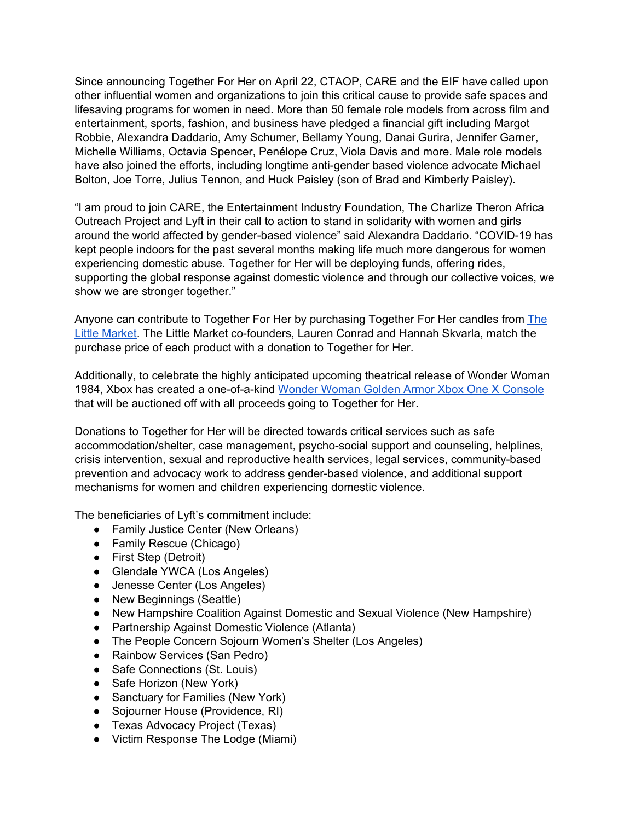Since announcing Together For Her on April 22, CTAOP, CARE and the EIF have called upon other influential women and organizations to join this critical cause to provide safe spaces and lifesaving programs for women in need. More than 50 female role models from across film and entertainment, sports, fashion, and business have pledged a financial gift including Margot Robbie, Alexandra Daddario, Amy Schumer, Bellamy Young, Danai Gurira, Jennifer Garner, Michelle Williams, Octavia Spencer, Penélope Cruz, Viola Davis and more. Male role models have also joined the efforts, including longtime anti-gender based violence advocate Michael Bolton, Joe Torre, Julius Tennon, and Huck Paisley (son of Brad and Kimberly Paisley).

"I am proud to join CARE, the Entertainment Industry Foundation, The Charlize Theron Africa Outreach Project and Lyft in their call to action to stand in solidarity with women and girls around the world affected by gender-based violence" said Alexandra Daddario. "COVID-19 has kept people indoors for the past several months making life much more dangerous for women experiencing domestic abuse. Together for Her will be deploying funds, offering rides, supporting the global response against domestic violence and through our collective voices, we show we are stronger together."

Anyone can contribute to Together For Her by purchasing Together For Her candles from [The](https://www.thelittlemarket.com/pages/together-for-her) [Little Market.](https://www.thelittlemarket.com/pages/together-for-her) The Little Market co-founders, Lauren Conrad and Hannah Skvarla, match the purchase price of each product with a donation to Together for Her.

Additionally, to celebrate the highly anticipated upcoming theatrical release of Wonder Woman 1984, Xbox has created a one-of-a-kind [Wonder Woman Golden Armor Xbox One X Console](https://news.xbox.com/en-us/2020/8/25/wonder-woman-1984-custom-consoles) that will be auctioned off with all proceeds going to Together for Her.

Donations to Together for Her will be directed towards critical services such as safe accommodation/shelter, case management, psycho-social support and counseling, helplines, crisis intervention, sexual and reproductive health services, legal services, community-based prevention and advocacy work to address gender-based violence, and additional support mechanisms for women and children experiencing domestic violence.

The beneficiaries of Lyft's commitment include:

- Family Justice Center (New Orleans)
- Family Rescue (Chicago)
- First Step (Detroit)
- Glendale YWCA (Los Angeles)
- Jenesse Center (Los Angeles)
- New Beginnings (Seattle)
- New Hampshire Coalition Against Domestic and Sexual Violence (New Hampshire)
- Partnership Against Domestic Violence (Atlanta)
- The People Concern Sojourn Women's Shelter (Los Angeles)
- Rainbow Services (San Pedro)
- Safe Connections (St. Louis)
- Safe Horizon (New York)
- Sanctuary for Families (New York)
- Sojourner House (Providence, RI)
- Texas Advocacy Project (Texas)
- Victim Response The Lodge (Miami)